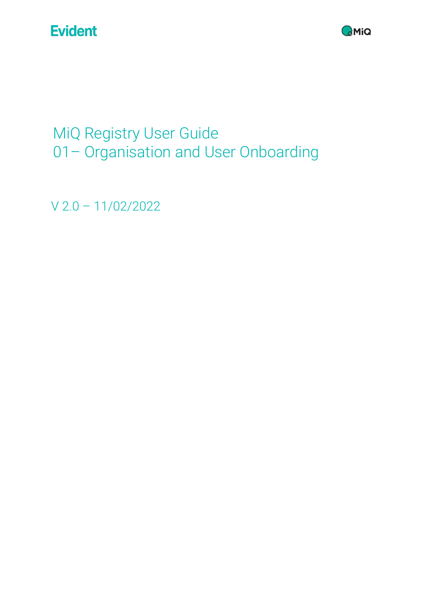

MiQ Registry User Guide 01– Organisation and User Onboarding

V 2.0 – 11/02/2022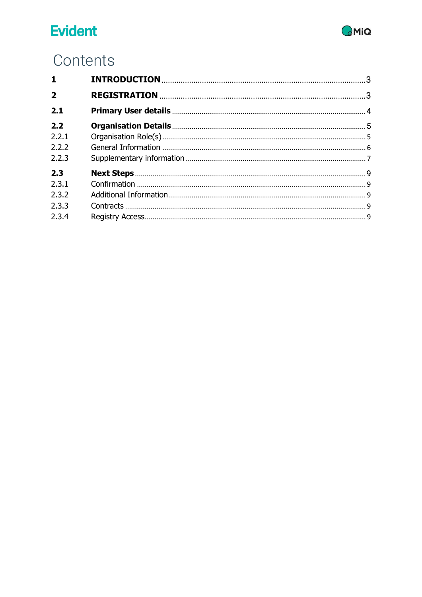

# Contents

| $\mathbf{1}$   |  |
|----------------|--|
| $\overline{2}$ |  |
| 2.1            |  |
| 2.2            |  |
| 2.2.1          |  |
| 2.2.2          |  |
| 2.2.3          |  |
| 2.3            |  |
| 2.3.1          |  |
| 2.3.2          |  |
| 2.3.3          |  |
| 2.3.4          |  |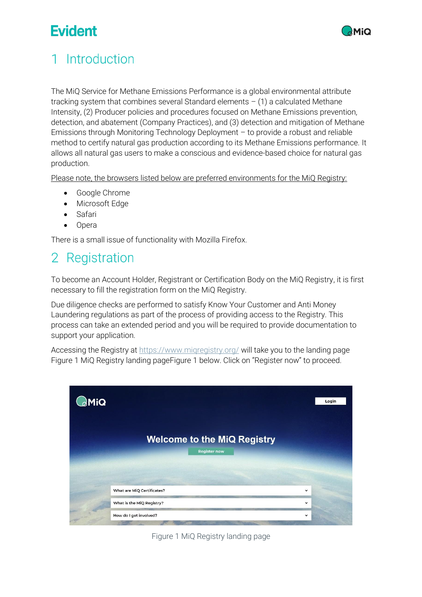

# <span id="page-2-0"></span>1 Introduction

The MiQ Service for Methane Emissions Performance is a global environmental attribute tracking system that combines several Standard elements  $- (1)$  a calculated Methane Intensity, (2) Producer policies and procedures focused on Methane Emissions prevention, detection, and abatement (Company Practices), and (3) detection and mitigation of Methane Emissions through Monitoring Technology Deployment – to provide a robust and reliable method to certify natural gas production according to its Methane Emissions performance. It allows all natural gas users to make a conscious and evidence-based choice for natural gas production.

Please note, the browsers listed below are preferred environments for the MiQ Registry:

- Google Chrome
- Microsoft Edge
- Safari
- Opera

There is a small issue of functionality with Mozilla Firefox.

### <span id="page-2-1"></span>Registration  $\overline{2}$

To become an Account Holder, Registrant or Certification Body on the MiQ Registry, it is first necessary to fill the registration form on the MiQ Registry.

Due diligence checks are performed to satisfy Know Your Customer and Anti Money Laundering regulations as part of the process of providing access to the Registry. This process can take an extended period and you will be required to provide documentation to support your application.

Accessing the Registry at https://www.migregistry.org/ will take you to the landing page Figure 1 [MiQ Registry landing pageFigure 1](#page-2-2) below. Click on "Register now" to proceed.



<span id="page-2-2"></span>Figure 1 MiQ Registry landing page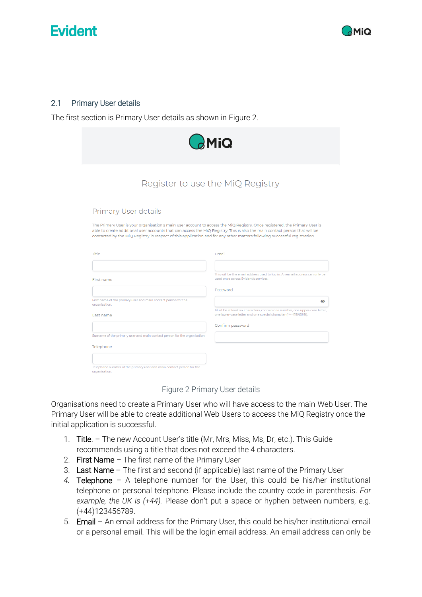



### <span id="page-3-0"></span>2.1 Primary User details

The first section is Primary User details as shown in [Figure 2.](#page-3-1)

|                                                                                                                                                   | $\partial$ MiQ                                                                                                                                                                                                                                            |
|---------------------------------------------------------------------------------------------------------------------------------------------------|-----------------------------------------------------------------------------------------------------------------------------------------------------------------------------------------------------------------------------------------------------------|
|                                                                                                                                                   | Register to use the MiQ Registry                                                                                                                                                                                                                          |
| Primary User details<br>contacted by the MiQ Registry in respect of this application and for any other matters following successful registration. | The Primary User is your organisation's main user account to access the MiQ Registry. Once registered, the Primary User is<br>able to create additional user accounts that can access the MiQ Registry. This is also the main contact person that will be |
| Title                                                                                                                                             | Email                                                                                                                                                                                                                                                     |
| First name                                                                                                                                        | This will be the email address used to log in. An email address can only be<br>used once across Evident's services.                                                                                                                                       |
|                                                                                                                                                   | Password                                                                                                                                                                                                                                                  |
| First name of the primary user and main contact person for the<br>organisation.                                                                   | $\bullet$                                                                                                                                                                                                                                                 |
| Last name                                                                                                                                         | Must be at least six characters, contain one number, one upper-case letter,<br>one lower-case letter and one special character (*+-=!?&%\$#%).                                                                                                            |
|                                                                                                                                                   | Confirm password                                                                                                                                                                                                                                          |
| Surname of the primary user and main contact person for the organisation.                                                                         |                                                                                                                                                                                                                                                           |
| Telephone                                                                                                                                         |                                                                                                                                                                                                                                                           |
|                                                                                                                                                   |                                                                                                                                                                                                                                                           |
| Telephone number of the primary user and main contact person for the<br>organisation.                                                             |                                                                                                                                                                                                                                                           |

Figure 2 Primary User details

<span id="page-3-1"></span>Organisations need to create a Primary User who will have access to the main Web User. The Primary User will be able to create additional Web Users to access the MiQ Registry once the initial application is successful.

- 1. Title. The new Account User's title (Mr, Mrs, Miss, Ms, Dr, etc.). This Guide recommends using a title that does not exceed the 4 characters.
- 2. First Name The first name of the Primary User
- 3. Last Name The first and second (if applicable) last name of the Primary User
- *4.* Telephone A telephone number for the User, this could be his/her institutional telephone or personal telephone. Please include the country code in parenthesis. *For example, the UK is (+44).* Please don't put a space or hyphen between numbers, e.g. (+44)123456789.
- 5. Email An email address for the Primary User, this could be his/her institutional email or a personal email. This will be the login email address. An email address can only be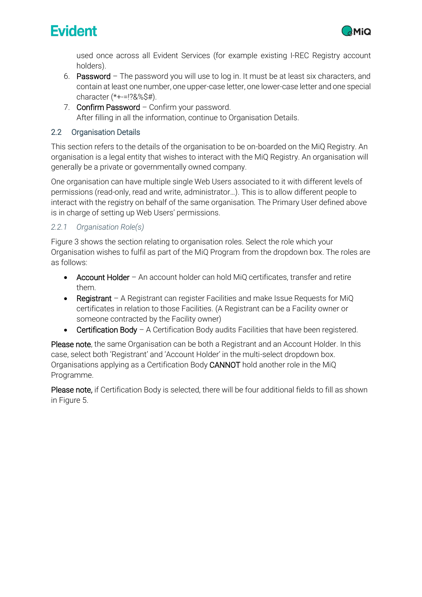



used once across all Evident Services (for example existing I-REC Registry account holders).

- 6. Password The password you will use to log in. It must be at least six characters, and contain at least one number, one upper-case letter, one lower-case letter and one special character (\*+-=!?&%\$#).
- 7. Confirm Password Confirm your password. After filling in all the information, continue to Organisation Details.

## <span id="page-4-0"></span>2.2 Organisation Details

This section refers to the details of the organisation to be on-boarded on the MiQ Registry. An organisation is a legal entity that wishes to interact with the MiQ Registry. An organisation will generally be a private or governmentally owned company.

One organisation can have multiple single Web Users associated to it with different levels of permissions (read-only, read and write, administrator…). This is to allow different people to interact with the registry on behalf of the same organisation. The Primary User defined above is in charge of setting up Web Users' permissions.

## <span id="page-4-1"></span>*2.2.1 Organisation Role(s)*

[Figure 3](#page-5-1) shows the section relating to organisation roles. Select the role which your Organisation wishes to fulfil as part of the MiQ Program from the dropdown box. The roles are as follows:

- Account Holder An account holder can hold MiQ certificates, transfer and retire them.
- Registrant A Registrant can register Facilities and make Issue Requests for MiQ certificates in relation to those Facilities. (A Registrant can be a Facility owner or someone contracted by the Facility owner)
- Certification Body A Certification Body audits Facilities that have been registered.

Please note, the same Organisation can be both a Registrant and an Account Holder. In this case, select both 'Registrant' and 'Account Holder' in the multi-select dropdown box. Organisations applying as a Certification Body CANNOT hold another role in the MiQ Programme.

Please note, if Certification Body is selected, there will be four additional fields to fill as shown in [Figure 5.](#page-7-0)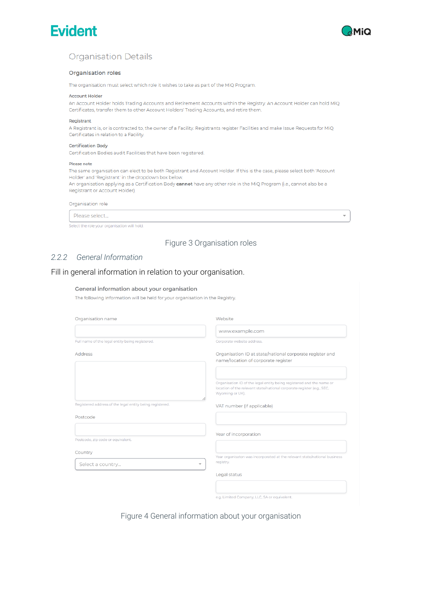



 $\overline{}$ 

## **Organisation Details**

#### Organisation roles

The organisation must select which role it wishes to take as part of the MiQ Program.

#### **Account Holder**

An Account Holder holds Trading Accounts and Retirement Accounts within the Registry. An Account Holder can hold MiQ Certificates, transfer them to other Account Holders' Trading Accounts, and retire them.

#### Registrant

A Registrant is, or is contracted to, the owner of a Facility. Registrants register Facilities and make Issue Requests for MiQ Certificates in relation to a Facility.

#### **Certification Body**

Certification Bodies audit Facilities that have been registered.

#### Please note

The same organisation can elect to be both Registrant and Account Holder. If this is the case, please select both 'Account Holder' and 'Registrant' in the dropdown box below.

An organisation applying as a Certification Body cannot have any other role in the MiQ Program (i.e., cannot also be a Registrant or Account Holder).

#### Organisation role

Please select...

Select the role your organisation will hold

### Figure 3 Organisation roles

#### <span id="page-5-1"></span><span id="page-5-0"></span> $222$ General Information

### Fill in general information in relation to your organisation.

#### General information about your organisation

The following information will be held for your organisation in the Registry.

| Organisation name                                        | Website                                                                                                                                                           |
|----------------------------------------------------------|-------------------------------------------------------------------------------------------------------------------------------------------------------------------|
|                                                          | www.example.com                                                                                                                                                   |
| Full name of the legal entity being registered.          | Corporate website address.                                                                                                                                        |
| <b>Address</b>                                           | Organisation ID at state/national corporate register and<br>name/location of corporate register                                                                   |
|                                                          | Organisation ID of the legal entity being registered and the name or<br>location of the relevant state/national corporate register (e.g., SEC,<br>Wyoming or UK). |
| Registered address of the legal entity being registered. | VAT number (if applicable)                                                                                                                                        |
| Postcode                                                 |                                                                                                                                                                   |
| Postcode, zip code or equivalent.                        | Year of incorporation                                                                                                                                             |
| Country<br>Select a country                              | Year organisaton was incorporated at the relevant state/national business<br>registry.<br>$\overline{\phantom{a}}$                                                |
|                                                          | Legal status                                                                                                                                                      |
|                                                          |                                                                                                                                                                   |
|                                                          | e.g. Limited Company, LLC, SA or equivalent.                                                                                                                      |

Figure 4 General information about your organisation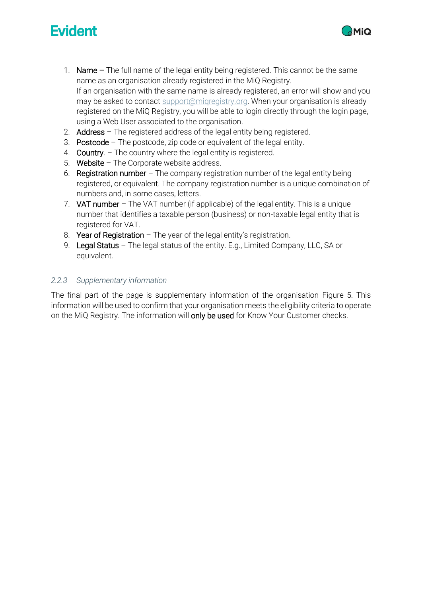

- 1. Name The full name of the legal entity being registered. This cannot be the same name as an organisation already registered in the MiQ Registry. If an organisation with the same name is already registered, an error will show and you may be asked to contact support@migregistry.org. When your organisation is already registered on the MiQ Registry, you will be able to login directly through the login page, using a Web User associated to the organisation.
- 2. Address The registered address of the legal entity being registered.
- 3. Postcode The postcode, zip code or equivalent of the legal entity.
- 4. Country. The country where the legal entity is registered.
- 5. Website The Corporate website address.
- 6. Registration number The company registration number of the legal entity being registered, or equivalent. The company registration number is a unique combination of numbers and, in some cases, letters.
- 7. VAT number The VAT number (if applicable) of the legal entity. This is a unique number that identifies a taxable person (business) or non-taxable legal entity that is registered for VAT.
- 8. Year of Registration The year of the legal entity's registration.
- 9. Legal Status The legal status of the entity. E.g., Limited Company, LLC, SA or equivalent.

## <span id="page-6-0"></span>*2.2.3 Supplementary information*

The final part of the page is supplementary information of the organisation [Figure 5.](#page-7-0) This information will be used to confirm that your organisation meets the eligibility criteria to operate on the MiQ Registry. The information will **only be used** for Know Your Customer checks.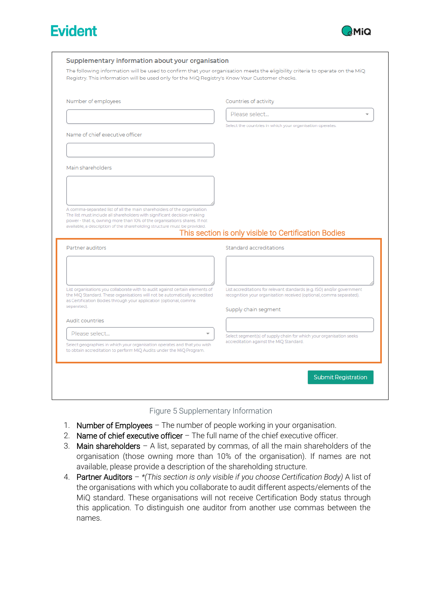



|                                                                                                                                                            | Countries of activity                                                                                                                          |
|------------------------------------------------------------------------------------------------------------------------------------------------------------|------------------------------------------------------------------------------------------------------------------------------------------------|
|                                                                                                                                                            | Please select                                                                                                                                  |
|                                                                                                                                                            | Select the countries in which your organisation operates.                                                                                      |
| Name of chief executive officer                                                                                                                            |                                                                                                                                                |
|                                                                                                                                                            |                                                                                                                                                |
| Main shareholders                                                                                                                                          |                                                                                                                                                |
|                                                                                                                                                            |                                                                                                                                                |
|                                                                                                                                                            |                                                                                                                                                |
|                                                                                                                                                            |                                                                                                                                                |
| A comma-separated list of all the main shareholders of the organisation.                                                                                   |                                                                                                                                                |
| The list must include all shareholders with significant decision-making                                                                                    |                                                                                                                                                |
| power - that is, owning more than 10% of the organisation's shares. If not                                                                                 |                                                                                                                                                |
| available, a description of the shareholding structure must be provided.                                                                                   | This section is only visible to Certification Bodies                                                                                           |
| Partner auditors                                                                                                                                           | Standard accreditations                                                                                                                        |
|                                                                                                                                                            |                                                                                                                                                |
|                                                                                                                                                            |                                                                                                                                                |
|                                                                                                                                                            |                                                                                                                                                |
| List organisations you collaborate with to audit against certain elements of<br>the MiQ Standard. These organisations will not be automatically accredited | List accreditations for relevant standards (e.g. ISO) and/or government<br>recognition your organisation received (optional, comma separated). |
| as Certification Bodies through your application (optional, comma<br>separated).                                                                           |                                                                                                                                                |
|                                                                                                                                                            | Supply chain segment                                                                                                                           |
| Audit countries                                                                                                                                            |                                                                                                                                                |
| Please select<br>Select geographies in which your organisation operates and that you wish                                                                  | Select segment(s) of supply chain for which your organisation seeks<br>accreditation against the MiQ Standard.                                 |



- <span id="page-7-0"></span>1. Number of Employees - The number of people working in your organisation.
- 2. Name of chief executive officer The full name of the chief executive officer.
- 3. Main shareholders  $-$  A list, separated by commas, of all the main shareholders of the organisation (those owning more than 10% of the organisation). If names are not available, please provide a description of the shareholding structure.
- 4. Partner Auditors *\*(This section is only visible if you choose Certification Body)* A list of the organisations with which you collaborate to audit different aspects/elements of the MiQ standard. These organisations will not receive Certification Body status through this application. To distinguish one auditor from another use commas between the names.